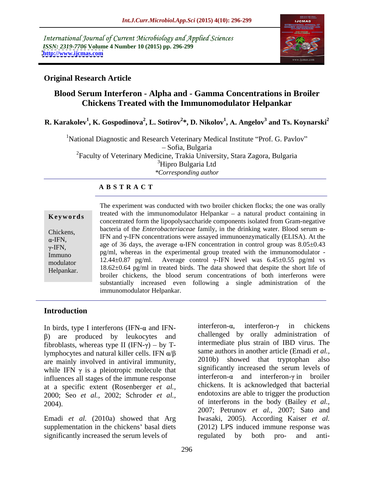International Journal of Current Microbiology and Applied Sciences *ISSN: 2319-7706* **Volume 4 Number 10 (2015) pp. 296-299 <http://www.ijcmas.com>**



## **Original Research Article**

# **Blood Serum Interferon - Alpha and - Gamma Concentrations in Broiler Chickens Treated with the Immunomodulator Helpankar**

**R. Karakolev<sup>1</sup> , K. Gospodinova<sup>2</sup> , L. Sotirov<sup>2</sup> \*, D. Nikolov1 , . Angelov 3 and Ts. Koynarski<sup>2</sup>**

<sup>1</sup>National Diagnostic and Research Veterinary Medical Institute "Prof. G. Pavlov" Sofia, Bulgaria <sup>2</sup>Faculty of Veterinary Medicine, Trakia University, Stara Zagora, Bulgaria <sup>3</sup>Hipro Bulgaria Ltd *\*Corresponding author*

## **A B S T R A C T**

| Keywords                                                                           |
|------------------------------------------------------------------------------------|
| Chickens,<br>$\alpha$ -IFN,<br>$\gamma$ -IFN,<br>Immuno<br>modulator<br>Helpankar. |
|                                                                                    |

The experiment was conducted with two broiler chicken flocks; the one was orally treated with the immunomodulator Helpankar  $-$  a natural product containing in concentrated form the lipopolysaccharide components isolated from Gram-negative bacteria of the *Enterobacteriaceae* family, in the drinking water. Blood serum  $\alpha$ -Chickens,<br>  $\alpha$ -IFN,<br>
IFN and  $\gamma$ -IFN concentrations were assayed immunoenzymatically (ELISA). At the<br>
age of 36 days, the average  $\alpha$ -IFN concentration in control group was 8.05±0.43 age of 36 days, the average  $\alpha$ -IFN concentration in control group was 8.05 $\pm$ 0.43  $p_g/ml$ , whereas in the experimental group treated with the immunomodulator - Immunomodulator - In  $\frac{1}{2}$  and  $\frac{1}{2}$  and  $\frac{1}{2}$  and  $\frac{1}{2}$  and  $\frac{1}{2}$  and  $\frac{1}{2}$  and  $\frac{1}{2}$  and  $\frac{1}{2}$  and  $\frac{1}{2}$  a 12.44 $\pm$ 0.87 pg/ml. Average control  $\gamma$ -IFN level was 6.45 $\pm$ 0.55 pg/ml vs modulator  $12.44\pm0.87$  pg/ml. Average control  $\gamma$ -n/iv lever was 0.45 $\pm$ 0.55 pg/ml vs<br>Helpankar  $18.62\pm0.64$  pg/ml in treated birds. The data showed that despite the short life of broiler chickens, the blood serum concentrations of both interferons were substantially increased even following a single administration of the **Keywords**<br>
concentrated form the linnunonodulator Telpankar – a natural potatic containing in<br>
concentrated form the lipopolysaccharide components isolated from Gram-negative<br>
chickens,<br>
IFN, IFN and  $\gamma$ -IFN concentrati

## **Introduction**

) are produced by leukocytes and fibroblasts, whereas type II (IFN- $\gamma$ ) – by Tlymphocytes and natural killer cells. IFN  $\alpha/\beta$ are mainly involved in antiviral immunity, while IFN  $\gamma$  is a pleiotropic molecule that influences all stages of the immune response at a specific extent (Rosenberger *et al.,* 2000; Seo *et al.,* 2002; Schroder *et al.,*

significantly increased the serum levels of regulated by both pro- and anti-

In birds, type I interferons (IFN- $\alpha$  and IFN-<br>interferon- $\alpha$ , interferon- $\gamma$  in chickens 2004). of interferons in the body (Bailey *et al.,* Emadi *et al.* (2010a) showed that Arg Iwasaki, 2005). According Kaiser *et al.* supplementation in the chickens' basal diets (2012) LPS induced immune response was interferon- $\alpha$ , interferon- $\gamma$  in chickens challenged by orally administration of intermediate plus strain of IBD virus. The same authors in another article (Emadi *et al.,* 2010b) showed that tryptophan also significantly increased the serum levels of interferon- $\alpha$  and interferon- $\gamma$  in broiler chickens. It is acknowledged that bacterial endotoxins are able to trigger the production 2007; Petrunov *et al.,* 2007; Sato and regulated by both pro- and anti-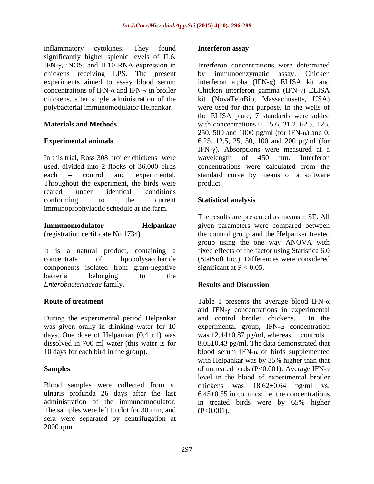inflammatory cytokines. They found **Interferon assay** significantly higher splenic levels of IL6, IFN- $\gamma$ , iNOS, and IL10 RNA expression in chickens receiving LPS. The present by immunoenzymatic assay. Chicken

In this trial, Ross 308 broiler chickens were wavelength of 450 nm. Interferon used, divided into 2 flocks of 36,000 birds concentrations were calculated from the Throughout the experiment, the birds were product. reared under identical conditions conforming to the current **Statistical analysis** immunoprophylactic schedule at the farm.

It is a natural product, containing a concentrate of lipopolysaccharide (StatSoft Inc.). Differences were considered components isolated from gram-negative bacteria belonging to the *Enterobacteriaceae* family*.*

During the experimental period Helpankar and control broiler chickens. In the days. One dose of Helpankar (0.4 ml) was

The samples were left to clot for 30 min, and sera were separated by centrifugation at 2000 rpm.

### **Interferon assay**

experiments aimed to assay blood serum interferon alpha  $(IFN-\alpha)$  ELISA kit and concentrations of IFN- $\alpha$  and IFN- $\gamma$  in broiler Chicken interferon gamma (IFN- $\gamma$ ) ELISA chickens, after single administration of the kit (NovaTeinBio, Massachusetts, USA) polybacterial immunomodulator Helpankar. were used for that purpose. In the wells of **Materials and Methods** with concentrations 0, 15.6, 31.2, 62.5, 125, **Experimental animals** 6.25, 12.5, 25, 50, 100 and 200 pg/ml (for each – control and experimental. standard curve by means of a software Interferon concentrations were determined by immunoenzymatic assay. Chicken the ELISA plate, 7 standards were added 250, 500 and 1000 pg/ml (for IFN- $\alpha$ ) and 0, IFN- $\gamma$ ). Absorptions were measured at a wavelength of 450 nm. Interferon concentrations were calculated from the product.

## **Statistical analysis**

**Immunomodulator Helpankar** given parameters were compared between **(**registration certificate No 1734**)** the control group and the Helpankar treated The results are presented as means  $\pm$  SE. All group using the one way ANOVA with fixed effects of the factor using Statistica 6.0 significant at  $P < 0.05$ .

## **Results and Discussion**

**Route of treatment** Table 1 presents the average blood IFN-α was given orally in drinking water for  $10$  experimental group, IFN- $\alpha$  concentration dissolved in 700 ml water (this water is for 8.05±0.43 pg/ml. The data demonstrated that 10 days for each bird in the group).  $\blacksquare$  blood serum IFN- $\alpha$  of birds supplemented **Samples** of untreated birds  $(P<0.001)$ . Average IFN- $\gamma$ Blood samples were collected from v. chickens was  $18.62 \pm 0.64$  pg/ml vs.<br>ulnaris profunda 26 days after the last  $6.45 \pm 0.55$  in controls; i.e. the concentrations administration of the immunomodulator. in treated birds were by 65% higher and IFN- $\gamma$  concentrations in experimental and control broiler chickens. was  $12.44\pm0.87$  pg/ml, whereas in controls – with Helpankar was by 35% higher than that level in the blood of experimental broiler chickens was  $18.62 \pm 0.64$  pg/ml vs.  $6.45\pm0.55$  in controls; i.e. the concentrations  $(P<0.001)$ .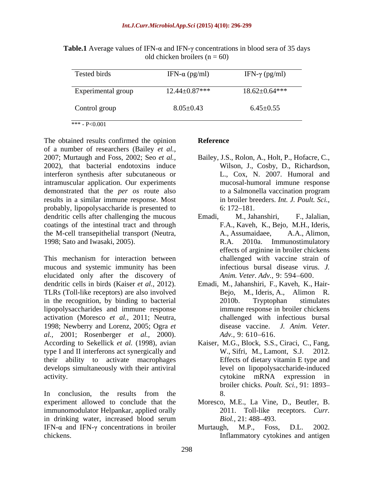**Table.1** Average values of IFN- $\alpha$  and IFN- $\gamma$  concentrations in blood sera of 35 days old chicken broilers ( $n = 60$ )

The obtained results confirmed the opinion Reference of a number of researchers (Bailey *et al.,* 2007; Murtaugh and Foss, 2002; Seo *et al.,* Bailey, J.S., Rolon, A., Holt, P., Hofacre, C., 2002), that bacterial endotoxins induce interferon synthesis after subcutaneous or intramuscular application. Our experiments demonstrated that the *per os* route also to a Salmonella vaccination program results in a similar immune response. Most probably, lipopolysaccharide is presented to  $6: 172-181$ . dendritic cells after challenging the mucous Emadi, M., Jahanshiri, F., Jalalian, coatings of the intestinal tract and through F.A., Kaveh, K., Bejo, M.H., Ideris,

mucous and systemic immunity has been elucidated only after the discovery of dendritic cells in birds (Kaiser *et al.*, 2012). Emadi, M., Jahanshiri, F., Kaveh, K., Hair-<br>TLRs (Toll-like receptors) are also involved Bejo, M., Ideris, A., Alimon R. in the recognition, by binding to bacterial 2010b. Tryptophan stimulates lipopolysaccharides and immune response activation (Moresco *et al.,* 2011; Neutra, 1998; Newberry and Lorenz, 2005; Ogra *et al.,* 2001; Rosenberger *et al.,* 2000). According to Sekellick *et al.* (1998), avian Kaiser, M.G., Block, S.S., Ciraci, C., Fang, type I and II interferons act synergically and W., Sifri, M., Lamont, S.J. 2012. their ability to activate macrophages develops simultaneously with their antiviral activity.  $\Box$  activity.

In conclusion, the results from the 8. experiment allowed to conclude that the immunomodulator Helpankar, applied orally in drinking water, increased blood serum Biol., 21: 488–493. IFN- $\alpha$  and IFN- $\gamma$  concentrations in broiler Murtaugh, M.P., Foss, D.L. 2002. chickens. Inflammatory cytokines and antigen

### **Reference**

- Wilson, J., Cosby, D., Richardson, L., Cox, N. 2007. Humoral and mucosal-humoral immune response to a Salmonella vaccination program in broiler breeders. *Int. J. Poult. Sci.,* 6: 172 181.
- the M-cell transepithelial transport (Neutra, A., Assumaidaee, A.A., Alimon, 1998; Sato and Iwasaki, 2005). R.A. 2010a. Immunostimulatory effects of arginine in broiler chickens<br>This mechanism for interaction between chall Emadi, M., Jahanshiri, F., Jalalian,<br>F.A., Kaveh, K., Bejo, M.H., Ideris,<br>A., Assumaidaee, A.A., Alimon,<br>R.A. 2010a. Immunostimulatory effects of arginine in broiler chickens challenged with vaccine strain of infectious bursal disease virus. *J. Anim. Veter. Adv., 9: 594-600.* 
	- Emadi, M., Jahanshiri, F., Kaveh, K., Hair- Bejo, M., Ideris, A., Alimon R. 2010b. Tryptophan stimulates immune response in broiler chickens challenged with infectious bursal disease vaccine. *Adv.*, 9: 610–616.
	- W., Sifri, M., Lamont, S.J. Effects of dietary vitamin E type and level on lipopolysaccharide-induced cytokine mRNA expression in broiler chicks. *Poult. Sci.,* 91: 1893 8.
	- Moresco, M.E., La Vine, D., Beutler, B. 2011. Toll-like receptors. *Curr. Biol.,* 21: 488–493.
	- Murtaugh, M.P., Foss, D.L. 2002.